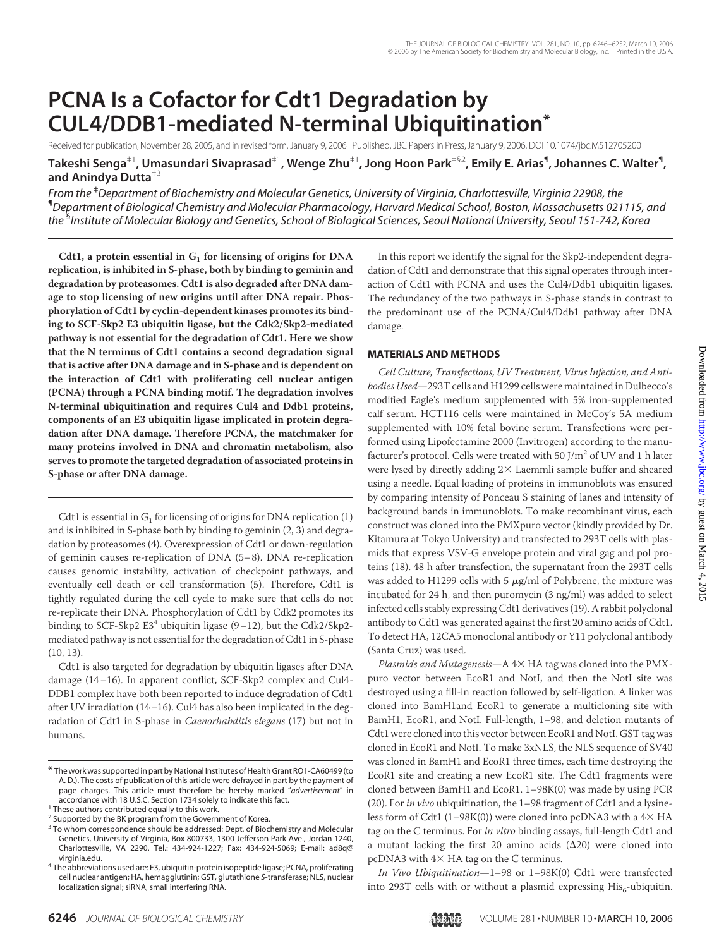# **PCNA Is a Cofactor for Cdt1 Degradation by CUL4/DDB1-mediated N-terminal Ubiquitination\***

Received for publication, November 28, 2005, and in revised form, January 9, 2006 Published, JBC Papers in Press, January 9, 2006, DOI 10.1074/jbc.M512705200

**Takeshi Senga**‡1**, Umasundari Sivaprasad**‡1**, Wenge Zhu**‡1**, Jong Hoon Park**‡§2**, Emily E. Arias**¶ **, Johannes C. Walter**¶ **, and Anindya Dutta**‡3

*From the* ‡ *Department of Biochemistry and Molecular Genetics, University of Virginia, Charlottesville, Virginia 22908, the* ¶ *Department of Biological Chemistry and Molecular Pharmacology, Harvard Medical School, Boston, Massachusetts 021115, and the* § *Institute of Molecular Biology and Genetics, School of Biological Sciences, Seoul National University, Seoul 151-742, Korea*

Cdt1, a protein essential in  $G_1$  for licensing of origins for DNA **replication, is inhibited in S-phase, both by binding to geminin and degradation by proteasomes. Cdt1 is also degraded after DNA damage to stop licensing of new origins until after DNA repair. Phosphorylation of Cdt1 by cyclin-dependent kinases promotes its binding to SCF-Skp2 E3 ubiquitin ligase, but the Cdk2/Skp2-mediated pathway is not essential for the degradation of Cdt1. Here we show that the N terminus of Cdt1 contains a second degradation signal that is active after DNA damage and in S-phase and is dependent on the interaction of Cdt1 with proliferating cell nuclear antigen (PCNA) through a PCNA binding motif. The degradation involves N-terminal ubiquitination and requires Cul4 and Ddb1 proteins, components of an E3 ubiquitin ligase implicated in protein degradation after DNA damage. Therefore PCNA, the matchmaker for many proteins involved in DNA and chromatin metabolism, also serves to promote the targeted degradation of associated proteins in S-phase or after DNA damage.**

Cdt1 is essential in  $G_1$  for licensing of origins for DNA replication (1) and is inhibited in S-phase both by binding to geminin (2, 3) and degradation by proteasomes (4). Overexpression of Cdt1 or down-regulation of geminin causes re-replication of DNA (5–8). DNA re-replication causes genomic instability, activation of checkpoint pathways, and eventually cell death or cell transformation (5). Therefore, Cdt1 is tightly regulated during the cell cycle to make sure that cells do not re-replicate their DNA. Phosphorylation of Cdt1 by Cdk2 promotes its binding to SCF-Skp2  $E3<sup>4</sup>$  ubiquitin ligase (9–12), but the Cdk2/Skp2mediated pathway is not essential for the degradation of Cdt1 in S-phase (10, 13).

Cdt1 is also targeted for degradation by ubiquitin ligases after DNA damage (14–16). In apparent conflict, SCF-Skp2 complex and Cul4- DDB1 complex have both been reported to induce degradation of Cdt1 after UV irradiation (14–16). Cul4 has also been implicated in the degradation of Cdt1 in S-phase in *Caenorhabditis elegans* (17) but not in humans.

In this report we identify the signal for the Skp2-independent degradation of Cdt1 and demonstrate that this signal operates through interaction of Cdt1 with PCNA and uses the Cul4/Ddb1 ubiquitin ligases. The redundancy of the two pathways in S-phase stands in contrast to the predominant use of the PCNA/Cul4/Ddb1 pathway after DNA damage.

#### **MATERIALS AND METHODS**

*Cell Culture, Transfections, UV Treatment, Virus Infection, and Antibodies Used*—293T cells and H1299 cells were maintained in Dulbecco's modified Eagle's medium supplemented with 5% iron-supplemented calf serum. HCT116 cells were maintained in McCoy's 5A medium supplemented with 10% fetal bovine serum. Transfections were performed using Lipofectamine 2000 (Invitrogen) according to the manufacturer's protocol. Cells were treated with 50  $J/m^2$  of UV and 1 h later were lysed by directly adding  $2\times$  Laemmli sample buffer and sheared using a needle. Equal loading of proteins in immunoblots was ensured by comparing intensity of Ponceau S staining of lanes and intensity of background bands in immunoblots. To make recombinant virus, each construct was cloned into the PMXpuro vector (kindly provided by Dr. Kitamura at Tokyo University) and transfected to 293T cells with plasmids that express VSV-G envelope protein and viral gag and pol proteins (18). 48 h after transfection, the supernatant from the 293T cells was added to H1299 cells with 5  $\mu$ g/ml of Polybrene, the mixture was incubated for 24 h, and then puromycin (3 ng/ml) was added to select infected cells stably expressing Cdt1 derivatives (19). A rabbit polyclonal antibody to Cdt1 was generated against the first 20 amino acids of Cdt1. To detect HA, 12CA5 monoclonal antibody or Y11 polyclonal antibody (Santa Cruz) was used.

Plasmids and Mutagenesis-A 4× HA tag was cloned into the PMXpuro vector between EcoR1 and NotI, and then the NotI site was destroyed using a fill-in reaction followed by self-ligation. A linker was cloned into BamH1and EcoR1 to generate a multicloning site with BamH1, EcoR1, and NotI. Full-length, 1–98, and deletion mutants of Cdt1 were cloned into this vector between EcoR1 and NotI. GST tag was cloned in EcoR1 and NotI. To make 3xNLS, the NLS sequence of SV40 was cloned in BamH1 and EcoR1 three times, each time destroying the EcoR1 site and creating a new EcoR1 site. The Cdt1 fragments were cloned between BamH1 and EcoR1. 1–98K(0) was made by using PCR (20). For *in vivo* ubiquitination, the 1–98 fragment of Cdt1 and a lysineless form of Cdt1 (1–98K(0)) were cloned into pcDNA3 with a  $4\times$  HA tag on the C terminus. For *in vitro* binding assays, full-length Cdt1 and a mutant lacking the first 20 amino acids  $(\Delta 20)$  were cloned into pcDNA3 with  $4 \times$  HA tag on the C terminus.

*In Vivo Ubiquitination*—1–98 or 1–98K(0) Cdt1 were transfected into 293T cells with or without a plasmid expressing  $His<sub>6</sub>$ -ubiquitin.



<sup>\*</sup> The work was supported in part by National Institutes of Health Grant RO1-CA60499 (to A. D.). The costs of publication of this article were defrayed in part by the payment of page charges. This article must therefore be hereby marked "*advertisement*" in

 $1$  These authors contributed equally to this work.

<sup>&</sup>lt;sup>2</sup> Supported by the BK program from the Government of Korea.

<sup>&</sup>lt;sup>3</sup> To whom correspondence should be addressed: Dept. of Biochemistry and Molecular Genetics, University of Virginia, Box 800733, 1300 Jefferson Park Ave., Jordan 1240, Charlottesville, VA 2290. Tel.: 434-924-1227; Fax: 434-924-5069; E-mail: ad8q@

virginia.edu. <sup>4</sup> The abbreviations used are: E3, ubiquitin-protein isopeptide ligase; PCNA, proliferating cell nuclear antigen; HA, hemagglutinin; GST, glutathione *S*-transferase; NLS, nuclear localization signal; siRNA, small interfering RNA.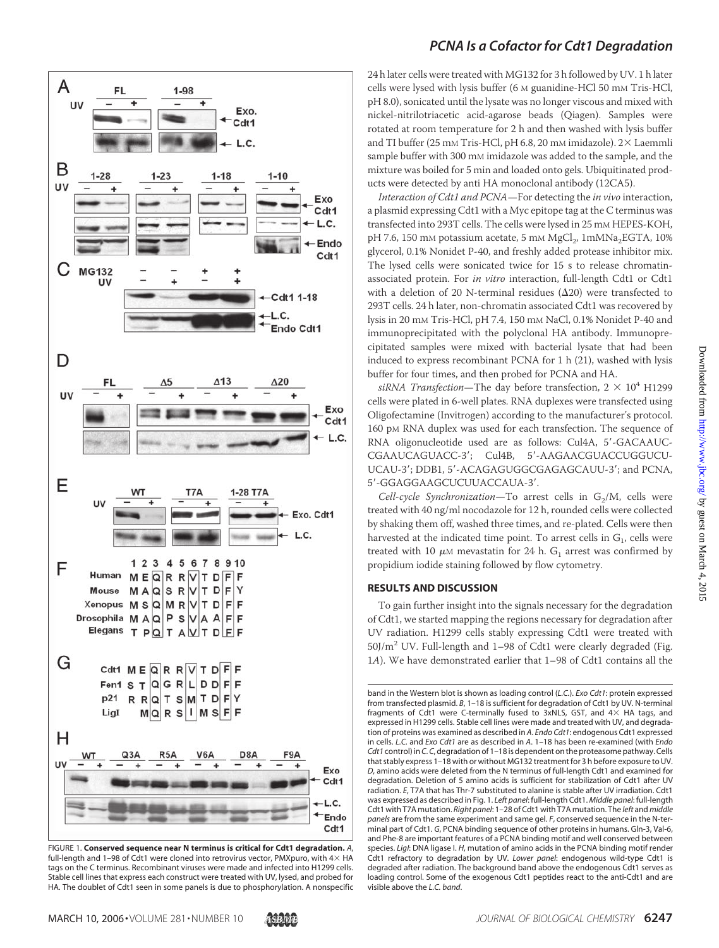

FIGURE 1. **Conserved sequence near N terminus is critical for Cdt1 degradation.** *A*, full-length and 1–98 of Cdt1 were cloned into retrovirus vector, PMXpuro, with  $4\times$  HA tags on the C terminus. Recombinant viruses were made and infected into H1299 cells. Stable cell lines that express each construct were treated with UV, lysed, and probed for HA. The doublet of Cdt1 seen in some panels is due to phosphorylation. A nonspecific

## *PCNA Is a Cofactor for Cdt1 Degradation*

24 h later cells were treated with MG132 for 3 h followed by UV. 1 h later cells were lysed with lysis buffer (6 M guanidine-HCl 50 mM Tris-HCl, pH 8.0), sonicated until the lysate was no longer viscous and mixed with nickel-nitrilotriacetic acid-agarose beads (Qiagen). Samples were rotated at room temperature for 2 h and then washed with lysis buffer and TI buffer (25 mm Tris-HCl, pH 6.8, 20 mm imidazole). 2X Laemmli sample buffer with 300 mm imidazole was added to the sample, and the mixture was boiled for 5 min and loaded onto gels. Ubiquitinated products were detected by anti HA monoclonal antibody (12CA5).

*Interaction of Cdt1 and PCNA*—For detecting the *in vivo* interaction, a plasmid expressing Cdt1 with a Myc epitope tag at the C terminus was transfected into 293T cells. The cells were lysed in 25 mM HEPES-KOH, pH 7.6, 150 mM potassium acetate, 5 mM MgCl<sub>2</sub>, 1mMNa<sub>2</sub>EGTA, 10% glycerol, 0.1% Nonidet P-40, and freshly added protease inhibitor mix. The lysed cells were sonicated twice for 15 s to release chromatinassociated protein. For *in vitro* interaction, full-length Cdt1 or Cdt1 with a deletion of 20 N-terminal residues  $(\Delta 20)$  were transfected to 293T cells. 24 h later, non-chromatin associated Cdt1 was recovered by lysis in 20 mM Tris-HCl, pH 7.4, 150 mM NaCl, 0.1% Nonidet P-40 and immunoprecipitated with the polyclonal HA antibody. Immunoprecipitated samples were mixed with bacterial lysate that had been induced to express recombinant PCNA for 1 h (21), washed with lysis buffer for four times, and then probed for PCNA and HA.

*siRNA Transfection*—The day before transfection,  $2 \times 10^4$  H1299 cells were plated in 6-well plates. RNA duplexes were transfected using Oligofectamine (Invitrogen) according to the manufacturer's protocol. 160 pM RNA duplex was used for each transfection. The sequence of RNA oligonucleotide used are as follows: Cul4A, 5-GACAAUC-CGAAUCAGUACC-3'; Cul4B, 5'-AAGAACGUACCUGGUCU-UCAU-3'; DDB1, 5'-ACAGAGUGGCGAGAGCAUU-3'; and PCNA, 5-GGAGGAAGCUCUUACCAUA-3.

*Cell-cycle Synchronization*—To arrest cells in  $G_2/M$ , cells were treated with 40 ng/ml nocodazole for 12 h, rounded cells were collected by shaking them off, washed three times, and re-plated. Cells were then harvested at the indicated time point. To arrest cells in  $G<sub>1</sub>$ , cells were treated with 10  $\mu$ M mevastatin for 24 h. G<sub>1</sub> arrest was confirmed by propidium iodide staining followed by flow cytometry.

#### **RESULTS AND DISCUSSION**

To gain further insight into the signals necessary for the degradation of Cdt1, we started mapping the regions necessary for degradation after UV radiation. H1299 cells stably expressing Cdt1 were treated with  $50$ J/m<sup>2</sup> UV. Full-length and 1–98 of Cdt1 were clearly degraded (Fig. 1*A*). We have demonstrated earlier that 1–98 of Cdt1 contains all the

band in the Western blot is shown as loading control (*L.C.*). *Exo Cdt1*: protein expressed from transfected plasmid. *B*, 1–18 is sufficient for degradation of Cdt1 by UV. N-terminal fragments of Cdt1 were C-terminally fused to 3xNLS, GST, and  $4\times$  HA tags, and expressed in H1299 cells. Stable cell lines were made and treated with UV, and degradation of proteins was examined as described in *A*. *Endo Cdt1*: endogenous Cdt1 expressed in cells. *L.C.* and *Exo Cdt1* are as described in *A*. 1–18 has been re-examined (with *Endo Cdt1* control) in *C*. *C*, degradation of 1–18 is dependent on the proteasome pathway. Cells that stably express 1–18 with or without MG132 treatment for 3 h before exposure to UV. *D*, amino acids were deleted from the N terminus of full-length Cdt1 and examined for degradation. Deletion of 5 amino acids is sufficient for stabilization of Cdt1 after UV radiation. *E*, T7A that has Thr-7 substituted to alanine is stable after UV irradiation. Cdt1 was expressed as described in Fig. 1. *Left panel*: full-length Cdt1. *Middle panel*: full-length Cdt1 with T7A mutation. *Right panel*: 1–28 of Cdt1 with T7A mutation. The *left* and *middle panels* are from the same experiment and same gel. *F*, conserved sequence in the N-terminal part of Cdt1. *G*, PCNA binding sequence of other proteins in humans. Gln-3, Val-6, and Phe-8 are important features of a PCNA binding motif and well conserved between species. *LigI*: DNA ligase I. *H*, mutation of amino acids in the PCNA binding motif render Cdt1 refractory to degradation by UV. *Lower panel*: endogenous wild-type Cdt1 is degraded after radiation. The background band above the endogenous Cdt1 serves as loading control. Some of the exogenous Cdt1 peptides react to the anti-Cdt1 and are visible above the *L.C. band*.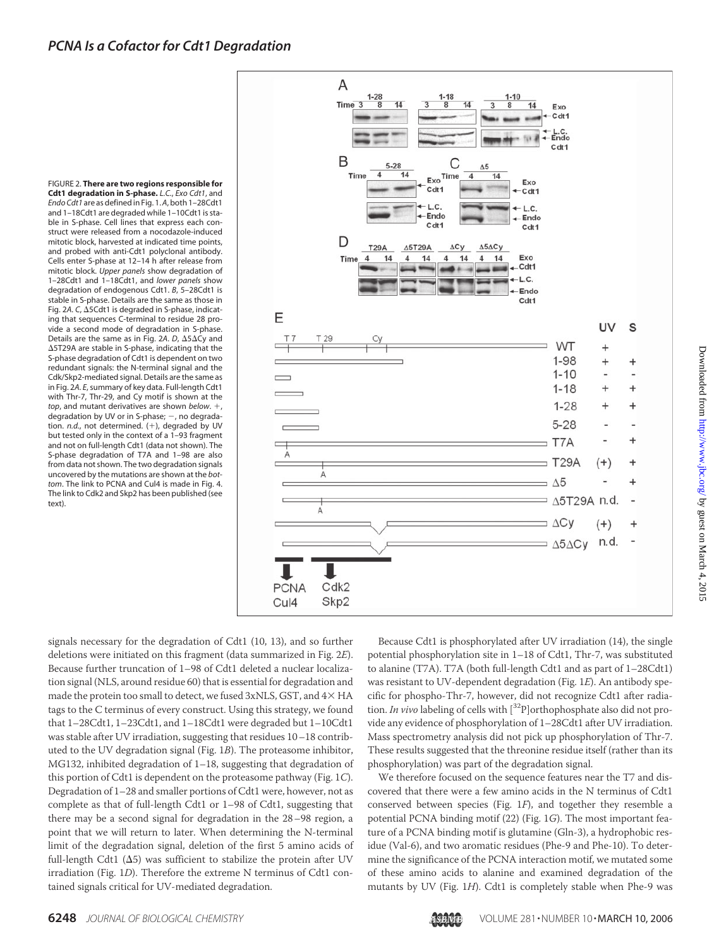FIGURE 2. **There are two regions responsible for Cdt1 degradation in S-phase.** *L.C.*, *Exo Cdt1*, and *Endo Cdt1* are as defined in Fig. 1. *A*, both 1–28Cdt1 and 1–18Cdt1 are degraded while 1–10Cdt1 is stable in S-phase. Cell lines that express each construct were released from a nocodazole-induced mitotic block, harvested at indicated time points, and probed with anti-Cdt1 polyclonal antibody. Cells enter S-phase at 12–14 h after release from mitotic block. *Upper panels* show degradation of 1–28Cdt1 and 1–18Cdt1, and *lower panels* show degradation of endogenous Cdt1. *B*, 5–28Cdt1 is stable in S-phase. Details are the same as those in Fig. 2A. C,  $\Delta$ 5Cdt1 is degraded in S-phase, indicating that sequences C-terminal to residue 28 provide a second mode of degradation in S-phase. Details are the same as in Fig. 2A.  $D$ ,  $\Delta$ 5 $\Delta$ Cy and -5T29A are stable in S-phase, indicating that the S-phase degradation of Cdt1 is dependent on two redundant signals: the N-terminal signal and the Cdk/Skp2-mediated signal. Details are the same as in Fig. 2*A*. *E*, summary of key data. Full-length Cdt1 with Thr-7, Thr-29, and Cy motif is shown at the *top*, and mutant derivatives are shown *below*. , degradation by UV or in S-phase;  $-$ , no degradation. *n.d.*, not determined. (+), degraded by UV but tested only in the context of a 1–93 fragment and not on full-length Cdt1 (data not shown). The S-phase degradation of T7A and 1–98 are also from data not shown. The two degradation signals uncovered by the mutations are shown at the *bottom*. The link to PCNA and Cul4 is made in Fig. 4. The link to Cdk2 and Skp2 has been published (see text)



signals necessary for the degradation of Cdt1 (10, 13), and so further deletions were initiated on this fragment (data summarized in Fig. 2*E*). Because further truncation of 1–98 of Cdt1 deleted a nuclear localization signal (NLS, around residue 60) that is essential for degradation and made the protein too small to detect, we fused  $3xNLS$ ,  $GST$ , and  $4\times HA$ tags to the C terminus of every construct. Using this strategy, we found that 1–28Cdt1, 1–23Cdt1, and 1–18Cdt1 were degraded but 1–10Cdt1 was stable after UV irradiation, suggesting that residues 10–18 contributed to the UV degradation signal (Fig. 1*B*). The proteasome inhibitor, MG132, inhibited degradation of 1–18, suggesting that degradation of this portion of Cdt1 is dependent on the proteasome pathway (Fig. 1*C*). Degradation of 1–28 and smaller portions of Cdt1 were, however, not as complete as that of full-length Cdt1 or 1–98 of Cdt1, suggesting that there may be a second signal for degradation in the 28–98 region, a point that we will return to later. When determining the N-terminal limit of the degradation signal, deletion of the first 5 amino acids of full-length Cdt1 ( $\Delta$ 5) was sufficient to stabilize the protein after UV irradiation (Fig. 1*D*). Therefore the extreme N terminus of Cdt1 contained signals critical for UV-mediated degradation.

Because Cdt1 is phosphorylated after UV irradiation (14), the single potential phosphorylation site in 1–18 of Cdt1, Thr-7, was substituted to alanine (T7A). T7A (both full-length Cdt1 and as part of 1–28Cdt1) was resistant to UV-dependent degradation (Fig. 1*E*). An antibody specific for phospho-Thr-7, however, did not recognize Cdt1 after radiation. *In vivo* labeling of cells with  $[{}^{32}P]$ orthophosphate also did not provide any evidence of phosphorylation of 1–28Cdt1 after UV irradiation. Mass spectrometry analysis did not pick up phosphorylation of Thr-7. These results suggested that the threonine residue itself (rather than its phosphorylation) was part of the degradation signal.

We therefore focused on the sequence features near the T7 and discovered that there were a few amino acids in the N terminus of Cdt1 conserved between species (Fig. 1*F*), and together they resemble a potential PCNA binding motif (22) (Fig. 1*G*). The most important feature of a PCNA binding motif is glutamine (Gln-3), a hydrophobic residue (Val-6), and two aromatic residues (Phe-9 and Phe-10). To determine the significance of the PCNA interaction motif, we mutated some of these amino acids to alanine and examined degradation of the mutants by UV (Fig. 1*H*). Cdt1 is completely stable when Phe-9 was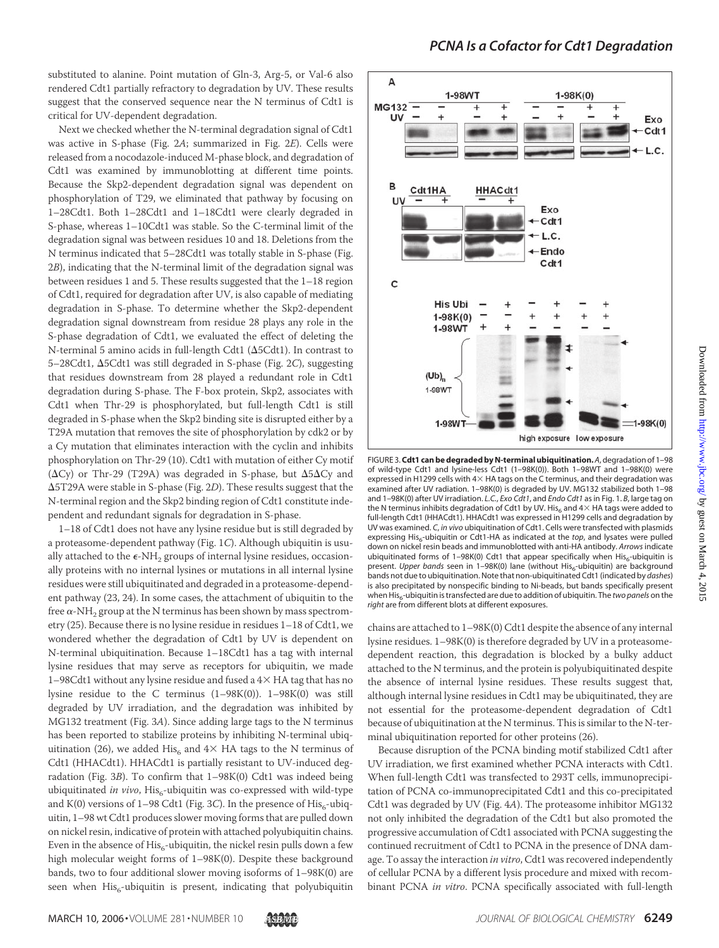substituted to alanine. Point mutation of Gln-3, Arg-5, or Val-6 also rendered Cdt1 partially refractory to degradation by UV. These results suggest that the conserved sequence near the N terminus of Cdt1 is critical for UV-dependent degradation.

Next we checked whether the N-terminal degradation signal of Cdt1 was active in S-phase (Fig. 2*A*; summarized in Fig. 2*E*). Cells were released from a nocodazole-induced M-phase block, and degradation of Cdt1 was examined by immunoblotting at different time points. Because the Skp2-dependent degradation signal was dependent on phosphorylation of T29, we eliminated that pathway by focusing on 1–28Cdt1. Both 1–28Cdt1 and 1–18Cdt1 were clearly degraded in S-phase, whereas 1–10Cdt1 was stable. So the C-terminal limit of the degradation signal was between residues 10 and 18. Deletions from the N terminus indicated that 5–28Cdt1 was totally stable in S-phase (Fig. 2*B*), indicating that the N-terminal limit of the degradation signal was between residues 1 and 5. These results suggested that the 1–18 region of Cdt1, required for degradation after UV, is also capable of mediating degradation in S-phase. To determine whether the Skp2-dependent degradation signal downstream from residue 28 plays any role in the S-phase degradation of Cdt1, we evaluated the effect of deleting the N-terminal 5 amino acids in full-length Cdt1 ( $\Delta$ 5Cdt1). In contrast to 5-28Cdt1,  $\Delta$ 5Cdt1 was still degraded in S-phase (Fig. 2C), suggesting that residues downstream from 28 played a redundant role in Cdt1 degradation during S-phase. The F-box protein, Skp2, associates with Cdt1 when Thr-29 is phosphorylated, but full-length Cdt1 is still degraded in S-phase when the Skp2 binding site is disrupted either by a T29A mutation that removes the site of phosphorylation by cdk2 or by a Cy mutation that eliminates interaction with the cyclin and inhibits phosphorylation on Thr-29 (10). Cdt1 with mutation of either Cy motif  $(\Delta Cy)$  or Thr-29 (T29A) was degraded in S-phase, but  $\Delta 5\Delta Cy$  and -5T29A were stable in S-phase (Fig. 2*D*). These results suggest that the N-terminal region and the Skp2 binding region of Cdt1 constitute independent and redundant signals for degradation in S-phase.

1–18 of Cdt1 does not have any lysine residue but is still degraded by a proteasome-dependent pathway (Fig. 1*C*). Although ubiquitin is usually attached to the  $\epsilon\text{-NH}_2$  groups of internal lysine residues, occasionally proteins with no internal lysines or mutations in all internal lysine residues were still ubiquitinated and degraded in a proteasome-dependent pathway (23, 24). In some cases, the attachment of ubiquitin to the free  $\alpha$ -NH<sub>2</sub> group at the N terminus has been shown by mass spectrometry (25). Because there is no lysine residue in residues 1–18 of Cdt1, we wondered whether the degradation of Cdt1 by UV is dependent on N-terminal ubiquitination. Because 1–18Cdt1 has a tag with internal lysine residues that may serve as receptors for ubiquitin, we made 1–98Cdt1 without any lysine residue and fused a  $4\times$  HA tag that has no lysine residue to the C terminus (1–98K(0)). 1–98K(0) was still degraded by UV irradiation, and the degradation was inhibited by MG132 treatment (Fig. 3*A*). Since adding large tags to the N terminus has been reported to stabilize proteins by inhibiting N-terminal ubiquitination (26), we added His<sub>6</sub> and  $4\times$  HA tags to the N terminus of Cdt1 (HHACdt1). HHACdt1 is partially resistant to UV-induced degradation (Fig. 3*B*). To confirm that 1–98K(0) Cdt1 was indeed being ubiquitinated *in vivo*, His<sub>6</sub>-ubiquitin was co-expressed with wild-type and K(0) versions of  $1-98$  Cdt1 (Fig. 3*C*). In the presence of  $\text{His}_{6}$ -ubiquitin, 1–98 wt Cdt1 produces slower moving forms that are pulled down on nickel resin, indicative of protein with attached polyubiquitin chains. Even in the absence of  $His_{6}$ -ubiquitin, the nickel resin pulls down a few high molecular weight forms of  $1-98K(0)$ . Despite these background bands, two to four additional slower moving isoforms of 1–98K(0) are seen when  $His<sub>6</sub>$ -ubiquitin is present, indicating that polyubiquitin



FIGURE 3.**Cdt1 can be degraded by N-terminal ubiquitination.***A*, degradation of 1–98 of wild-type Cdt1 and lysine-less Cdt1 (1–98K(0)). Both 1–98WT and 1–98K(0) were expressed in H1299 cells with  $4\times$  HA tags on the C terminus, and their degradation was examined after UV radiation. 1–98K(0) is degraded by UV. MG132 stabilized both 1–98 and 1–98K(0) after UV irradiation. *L.C.*, *Exo Cdt1*, and *Endo Cdt1* as in Fig. 1. *B*, large tag on the N terminus inhibits degradation of Cdt1 by UV. His $_6$  and 4 $\times$  HA tags were added to full-length Cdt1 (HHACdt1). HHACdt1 was expressed in H1299 cells and degradation by UV was examined. *C*, *in vivo* ubiquitination of Cdt1. Cells were transfected with plasmids expressing His<sub>6</sub>-ubiquitin or Cdt1-HA as indicated at the *top*, and lysates were pulled down on nickel resin beads and immunoblotted with anti-HA antibody. *Arrows* indicate ubiquitinated forms of 1-98K(0) Cdt1 that appear specifically when  $His<sub>6</sub>$ -ubiquitin is present. *Upper bands* seen in 1-98K(0) lane (without His<sub>6</sub>-ubiquitin) are background bands not due to ubiquitination. Note that non-ubiquitinated Cdt1 (indicated by *dashes*) is also precipitated by nonspecific binding to Ni-beads, but bands specifically present when His<sub>6</sub>-ubiquitin is transfected are due to addition of ubiquitin. The *two panels* on the *right* are from different blots at different exposures.

chains are attached to 1–98K(0) Cdt1 despite the absence of any internal lysine residues. 1–98K(0) is therefore degraded by UV in a proteasomedependent reaction, this degradation is blocked by a bulky adduct attached to the N terminus, and the protein is polyubiquitinated despite the absence of internal lysine residues. These results suggest that, although internal lysine residues in Cdt1 may be ubiquitinated, they are not essential for the proteasome-dependent degradation of Cdt1 because of ubiquitination at the N terminus. This is similar to the N-terminal ubiquitination reported for other proteins (26).

Because disruption of the PCNA binding motif stabilized Cdt1 after UV irradiation, we first examined whether PCNA interacts with Cdt1. When full-length Cdt1 was transfected to 293T cells, immunoprecipitation of PCNA co-immunoprecipitated Cdt1 and this co-precipitated Cdt1 was degraded by UV (Fig. 4*A*). The proteasome inhibitor MG132 not only inhibited the degradation of the Cdt1 but also promoted the progressive accumulation of Cdt1 associated with PCNA suggesting the continued recruitment of Cdt1 to PCNA in the presence of DNA damage. To assay the interaction *in vitro*, Cdt1 was recovered independently of cellular PCNA by a different lysis procedure and mixed with recombinant PCNA *in vitro*. PCNA specifically associated with full-length

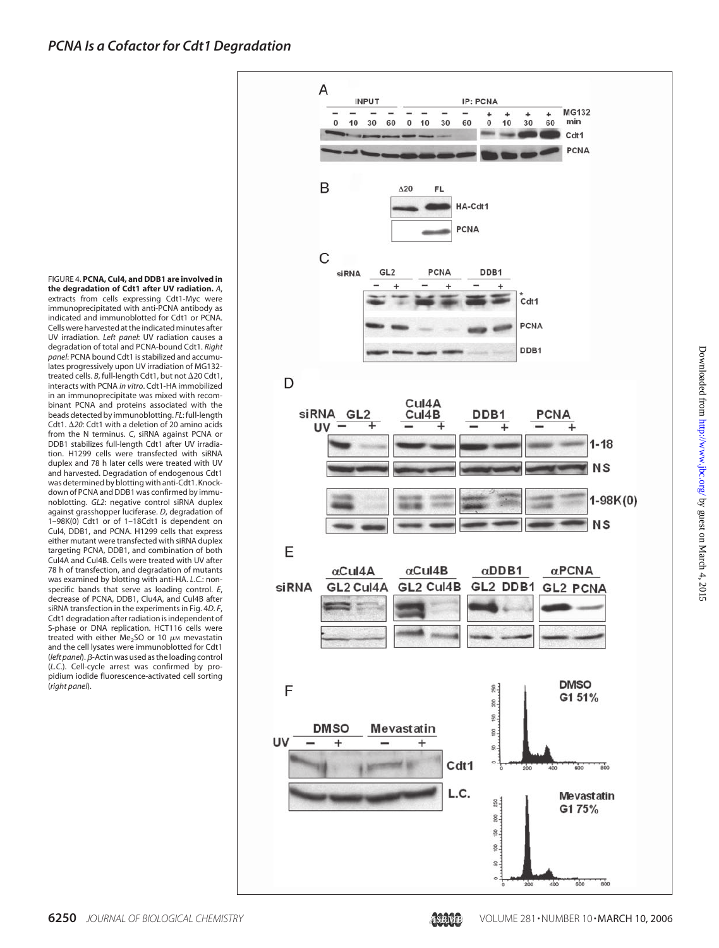FIGURE 4. **PCNA, Cul4, and DDB1 are involved in the degradation of Cdt1 after UV radiation.** *A*, extracts from cells expressing Cdt1-Myc were immunoprecipitated with anti-PCNA antibody as indicated and immunoblotted for Cdt1 or PCNA. Cells were harvested at the indicated minutes after UV irradiation. *Left panel*: UV radiation causes a degradation of total and PCNA-bound Cdt1. *Right panel*: PCNA bound Cdt1 is stabilized and accumulates progressively upon UV irradiation of MG132 treated cells. *B*, full-length Cdt1, but not Δ20 Cdt1, interacts with PCNA *in vitro*. Cdt1-HA immobilized in an immunoprecipitate was mixed with recombinant PCNA and proteins associated with the beads detected by immunoblotting. *FL*:full-length Cdt1. Δ20: Cdt1 with a deletion of 20 amino acids from the N terminus. *C*, siRNA against PCNA or DDB1 stabilizes full-length Cdt1 after UV irradiation. H1299 cells were transfected with siRNA duplex and 78 h later cells were treated with UV and harvested. Degradation of endogenous Cdt1 was determined by blotting with anti-Cdt1. Knockdown of PCNA and DDB1 was confirmed by immunoblotting. *GL2*: negative control siRNA duplex against grasshopper luciferase. *D*, degradation of 1–98K(0) Cdt1 or of 1–18Cdt1 is dependent on Cul4, DDB1, and PCNA. H1299 cells that express either mutant were transfected with siRNA duplex targeting PCNA, DDB1, and combination of both Cul4A and Cul4B. Cells were treated with UV after 78 h of transfection, and degradation of mutants was examined by blotting with anti-HA. *L.C.*: nonspecific bands that serve as loading control. *E*, decrease of PCNA, DDB1, Clu4A, and Cul4B after siRNA transfection in the experiments in Fig. 4*D*. *F*, Cdt1 degradation after radiation is independent of S-phase or DNA replication. HCT116 cells were treated with either  $Me<sub>2</sub>SO$  or 10  $\mu$ M mevastatin and the cell lysates were immunoblotted for Cdt1 (*left panel*). β-Actin was used as the loading control (*L.C.*). Cell-cycle arrest was confirmed by propidium iodide fluorescence-activated cell sorting (*right panel*).



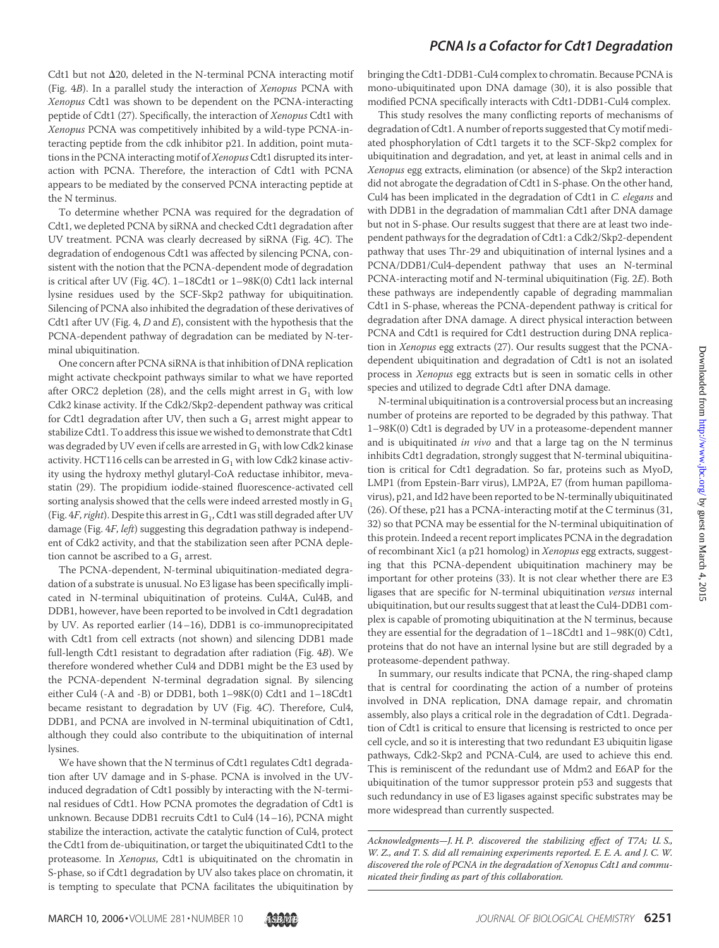### *PCNA Is a Cofactor for Cdt1 Degradation*

Cdt1 but not  $\Delta$ 20, deleted in the N-terminal PCNA interacting motif (Fig. 4*B*). In a parallel study the interaction of *Xenopus* PCNA with *Xenopus* Cdt1 was shown to be dependent on the PCNA-interacting peptide of Cdt1 (27). Specifically, the interaction of *Xenopus* Cdt1 with *Xenopus* PCNA was competitively inhibited by a wild-type PCNA-interacting peptide from the cdk inhibitor p21. In addition, point mutations in the PCNA interacting motif of*Xenopus*Cdt1 disrupted its interaction with PCNA. Therefore, the interaction of Cdt1 with PCNA appears to be mediated by the conserved PCNA interacting peptide at the N terminus.

To determine whether PCNA was required for the degradation of Cdt1, we depleted PCNA by siRNA and checked Cdt1 degradation after UV treatment. PCNA was clearly decreased by siRNA (Fig. 4*C*). The degradation of endogenous Cdt1 was affected by silencing PCNA, consistent with the notion that the PCNA-dependent mode of degradation is critical after UV (Fig. 4*C*). 1–18Cdt1 or 1–98K(0) Cdt1 lack internal lysine residues used by the SCF-Skp2 pathway for ubiquitination. Silencing of PCNA also inhibited the degradation of these derivatives of Cdt1 after UV (Fig. 4, *D* and *E*), consistent with the hypothesis that the PCNA-dependent pathway of degradation can be mediated by N-terminal ubiquitination.

One concern after PCNA siRNA is that inhibition of DNA replication might activate checkpoint pathways similar to what we have reported after ORC2 depletion (28), and the cells might arrest in  $G_1$  with low Cdk2 kinase activity. If the Cdk2/Skp2-dependent pathway was critical for Cdt1 degradation after UV, then such a  $G_1$  arrest might appear to stabilize Cdt1. To address this issue we wished to demonstrate that Cdt1 was degraded by UV even if cells are arrested in  $G_1$  with low Cdk2 kinase activity. HCT116 cells can be arrested in  $G_1$  with low Cdk2 kinase activity using the hydroxy methyl glutaryl-CoA reductase inhibitor, mevastatin (29). The propidium iodide-stained fluorescence-activated cell sorting analysis showed that the cells were indeed arrested mostly in  $G_1$ (Fig. 4*F*, *right*). Despite this arrest in G<sub>1</sub>, Cdt1 was still degraded after UV damage (Fig. 4*F*, *left*) suggesting this degradation pathway is independent of Cdk2 activity, and that the stabilization seen after PCNA depletion cannot be ascribed to a  $G_1$  arrest.

The PCNA-dependent, N-terminal ubiquitination-mediated degradation of a substrate is unusual. No E3 ligase has been specifically implicated in N-terminal ubiquitination of proteins. Cul4A, Cul4B, and DDB1, however, have been reported to be involved in Cdt1 degradation by UV. As reported earlier (14–16), DDB1 is co-immunoprecipitated with Cdt1 from cell extracts (not shown) and silencing DDB1 made full-length Cdt1 resistant to degradation after radiation (Fig. 4*B*). We therefore wondered whether Cul4 and DDB1 might be the E3 used by the PCNA-dependent N-terminal degradation signal. By silencing either Cul4 (-A and -B) or DDB1, both 1–98K(0) Cdt1 and 1–18Cdt1 became resistant to degradation by UV (Fig. 4*C*). Therefore, Cul4, DDB1, and PCNA are involved in N-terminal ubiquitination of Cdt1, although they could also contribute to the ubiquitination of internal lysines.

We have shown that the N terminus of Cdt1 regulates Cdt1 degradation after UV damage and in S-phase. PCNA is involved in the UVinduced degradation of Cdt1 possibly by interacting with the N-terminal residues of Cdt1. How PCNA promotes the degradation of Cdt1 is unknown. Because DDB1 recruits Cdt1 to Cul4 (14–16), PCNA might stabilize the interaction, activate the catalytic function of Cul4, protect the Cdt1 from de-ubiquitination, or target the ubiquitinated Cdt1 to the proteasome. In *Xenopus*, Cdt1 is ubiquitinated on the chromatin in S-phase, so if Cdt1 degradation by UV also takes place on chromatin, it is tempting to speculate that PCNA facilitates the ubiquitination by

bringing the Cdt1-DDB1-Cul4 complex to chromatin. Because PCNA is mono-ubiquitinated upon DNA damage (30), it is also possible that modified PCNA specifically interacts with Cdt1-DDB1-Cul4 complex.

This study resolves the many conflicting reports of mechanisms of degradation of Cdt1. A number of reports suggested that Cy motif mediated phosphorylation of Cdt1 targets it to the SCF-Skp2 complex for ubiquitination and degradation, and yet, at least in animal cells and in *Xenopus* egg extracts, elimination (or absence) of the Skp2 interaction did not abrogate the degradation of Cdt1 in S-phase. On the other hand, Cul4 has been implicated in the degradation of Cdt1 in *C. elegans* and with DDB1 in the degradation of mammalian Cdt1 after DNA damage but not in S-phase. Our results suggest that there are at least two independent pathways for the degradation of Cdt1: a Cdk2/Skp2-dependent pathway that uses Thr-29 and ubiquitination of internal lysines and a PCNA/DDB1/Cul4-dependent pathway that uses an N-terminal PCNA-interacting motif and N-terminal ubiquitination (Fig. 2*E*). Both these pathways are independently capable of degrading mammalian Cdt1 in S-phase, whereas the PCNA-dependent pathway is critical for degradation after DNA damage. A direct physical interaction between PCNA and Cdt1 is required for Cdt1 destruction during DNA replication in *Xenopus* egg extracts (27). Our results suggest that the PCNAdependent ubiquitination and degradation of Cdt1 is not an isolated process in *Xenopus* egg extracts but is seen in somatic cells in other species and utilized to degrade Cdt1 after DNA damage.

N-terminal ubiquitination is a controversial process but an increasing number of proteins are reported to be degraded by this pathway. That 1–98K(0) Cdt1 is degraded by UV in a proteasome-dependent manner and is ubiquitinated *in vivo* and that a large tag on the N terminus inhibits Cdt1 degradation, strongly suggest that N-terminal ubiquitination is critical for Cdt1 degradation. So far, proteins such as MyoD, LMP1 (from Epstein-Barr virus), LMP2A, E7 (from human papillomavirus), p21, and Id2 have been reported to be N-terminally ubiquitinated (26). Of these, p21 has a PCNA-interacting motif at the C terminus (31, 32) so that PCNA may be essential for the N-terminal ubiquitination of this protein. Indeed a recent report implicates PCNA in the degradation of recombinant Xic1 (a p21 homolog) in *Xenopus* egg extracts, suggesting that this PCNA-dependent ubiquitination machinery may be important for other proteins (33). It is not clear whether there are E3 ligases that are specific for N-terminal ubiquitination *versus* internal ubiquitination, but our results suggest that at least the Cul4-DDB1 complex is capable of promoting ubiquitination at the N terminus, because they are essential for the degradation of 1–18Cdt1 and 1–98K(0) Cdt1, proteins that do not have an internal lysine but are still degraded by a proteasome-dependent pathway.

In summary, our results indicate that PCNA, the ring-shaped clamp that is central for coordinating the action of a number of proteins involved in DNA replication, DNA damage repair, and chromatin assembly, also plays a critical role in the degradation of Cdt1. Degradation of Cdt1 is critical to ensure that licensing is restricted to once per cell cycle, and so it is interesting that two redundant E3 ubiquitin ligase pathways, Cdk2-Skp2 and PCNA-Cul4, are used to achieve this end. This is reminiscent of the redundant use of Mdm2 and E6AP for the ubiquitination of the tumor suppressor protein p53 and suggests that such redundancy in use of E3 ligases against specific substrates may be more widespread than currently suspected.

*Acknowledgments—J. H. P. discovered the stabilizing effect of T7A; U. S., W. Z., and T. S. did all remaining experiments reported. E. E. A. and J. C. W. discovered the role of PCNA in the degradation of Xenopus Cdt1 and communicated their finding as part of this collaboration.*



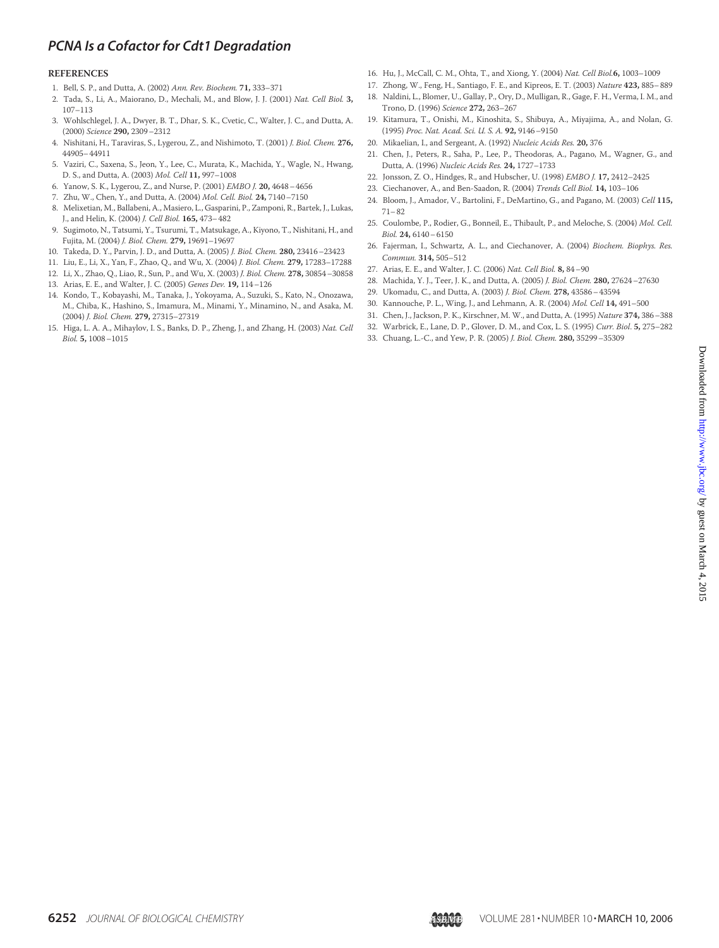# *PCNA Is a Cofactor for Cdt1 Degradation*

#### **REFERENCES**

- 1. Bell, S. P., and Dutta, A. (2002) *Ann. Rev. Biochem.* **71,** 333–371
- 2. Tada, S., Li, A., Maiorano, D., Mechali, M., and Blow, J. J. (2001) *Nat. Cell Biol.* **3,** 107–113
- 3. Wohlschlegel, J. A., Dwyer, B. T., Dhar, S. K., Cvetic, C., Walter, J. C., and Dutta, A. (2000) *Science* **290,** 2309–2312
- 4. Nishitani, H., Taraviras, S., Lygerou, Z., and Nishimoto, T. (2001) *J. Biol. Chem.* **276,** 44905–44911
- 5. Vaziri, C., Saxena, S., Jeon, Y., Lee, C., Murata, K., Machida, Y., Wagle, N., Hwang, D. S., and Dutta, A. (2003) *Mol. Cell* **11,** 997–1008
- 6. Yanow, S. K., Lygerou, Z., and Nurse, P. (2001) *EMBO J.* **20,** 4648–4656
- 7. Zhu, W., Chen, Y., and Dutta, A. (2004) *Mol. Cell. Biol.* **24,** 7140–7150
- 8. Melixetian, M., Ballabeni, A., Masiero, L., Gasparini, P., Zamponi, R., Bartek, J., Lukas, J., and Helin, K. (2004) *J. Cell Biol.* **165,** 473–482
- 9. Sugimoto, N., Tatsumi, Y., Tsurumi, T., Matsukage, A., Kiyono, T., Nishitani, H., and Fujita, M. (2004) *J. Biol. Chem.* **279,** 19691–19697
- 10. Takeda, D. Y., Parvin, J. D., and Dutta, A. (2005) *J. Biol. Chem.* **280,** 23416–23423
- 11. Liu, E., Li, X., Yan, F., Zhao, Q., and Wu, X. (2004) *J. Biol. Chem.* **279,** 17283–17288
- 12. Li, X., Zhao, Q., Liao, R., Sun, P., and Wu, X. (2003) *J. Biol. Chem.* **278,** 30854–30858
- 13. Arias, E. E., and Walter, J. C. (2005) *Genes Dev.* **19,** 114–126
- 14. Kondo, T., Kobayashi, M., Tanaka, J., Yokoyama, A., Suzuki, S., Kato, N., Onozawa, M., Chiba, K., Hashino, S., Imamura, M., Minami, Y., Minamino, N., and Asaka, M. (2004) *J. Biol. Chem.* **279,** 27315–27319
- 15. Higa, L. A. A., Mihaylov, I. S., Banks, D. P., Zheng, J., and Zhang, H. (2003) *Nat. Cell Biol.* **5,** 1008–1015
- 16. Hu, J., McCall, C. M., Ohta, T., and Xiong, Y. (2004) *Nat. Cell Biol.***6,** 1003–1009
- 17. Zhong, W., Feng, H., Santiago, F. E., and Kipreos, E. T. (2003) *Nature* **423,** 885–889
- 18. Naldini, L., Blomer, U., Gallay, P., Ory, D., Mulligan, R., Gage, F. H., Verma, I. M., and Trono, D. (1996) *Science* **272,** 263–267
- 19. Kitamura, T., Onishi, M., Kinoshita, S., Shibuya, A., Miyajima, A., and Nolan, G. (1995) *Proc. Nat. Acad. Sci. U. S. A.* **92,** 9146–9150
- 20. Mikaelian, I., and Sergeant, A. (1992) *Nucleic Acids Res.* **20,** 376
- 21. Chen, J., Peters, R., Saha, P., Lee, P., Theodoras, A., Pagano, M., Wagner, G., and Dutta, A. (1996) *Nucleic Acids Res.* **24,** 1727–1733
- 22. Jonsson, Z. O., Hindges, R., and Hubscher, U. (1998) *EMBO J.* **17,** 2412–2425
- 23. Ciechanover, A., and Ben-Saadon, R. (2004) *Trends Cell Biol.* **14,** 103–106
- 24. Bloom, J., Amador, V., Bartolini, F., DeMartino, G., and Pagano, M. (2003) *Cell* **115,** 71–82
- 25. Coulombe, P., Rodier, G., Bonneil, E., Thibault, P., and Meloche, S. (2004) *Mol. Cell. Biol.* **24,** 6140–6150
- 26. Fajerman, I., Schwartz, A. L., and Ciechanover, A. (2004) *Biochem. Biophys. Res. Commun.* **314,** 505–512
- 27. Arias, E. E., and Walter, J. C. (2006) *Nat. Cell Biol.* **8,** 84–90
- 28. Machida, Y. J., Teer, J. K., and Dutta, A. (2005) *J. Biol. Chem.* **280,** 27624–27630
- 29. Ukomadu, C., and Dutta, A. (2003) *J. Biol. Chem.* **278,** 43586–43594
- 30. Kannouche, P. L., Wing, J., and Lehmann, A. R. (2004) *Mol. Cell* **14,** 491–500
- 31. Chen, J., Jackson, P. K., Kirschner, M. W., and Dutta, A. (1995) *Nature* **374,** 386–388
- 32. Warbrick, E., Lane, D. P., Glover, D. M., and Cox, L. S. (1995) *Curr. Biol*. **5,** 275–282
- 33. Chuang, L.-C., and Yew, P. R. (2005) *J. Biol. Chem.* **280,** 35299–35309